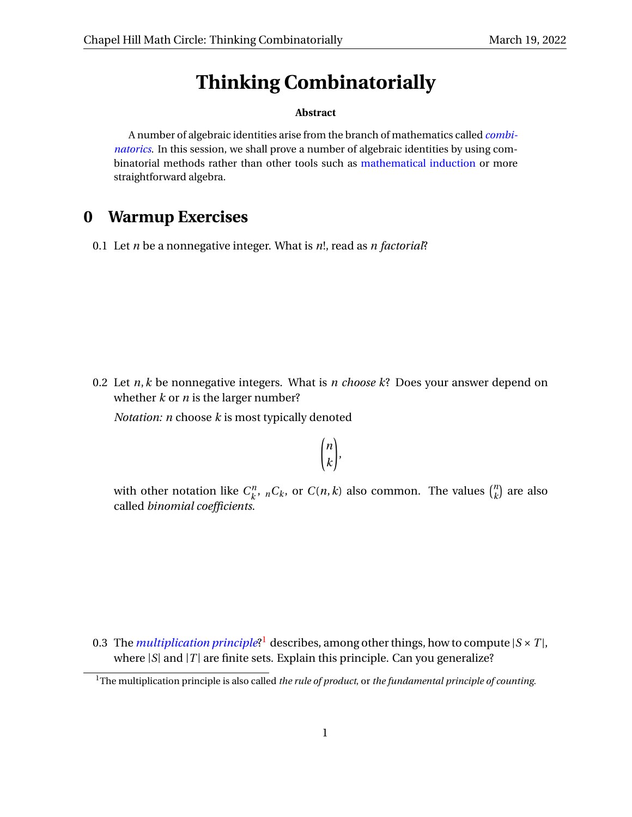# **Thinking Combinatorially**

#### **Abstract**

A number of algebraic identities arise from the branch of mathematics called *[combi](https://en.wikipedia.org/wiki/Combinatorics)[natorics](https://en.wikipedia.org/wiki/Combinatorics)*. In this session, we shall prove a number of algebraic identities by using combinatorial methods rather than other tools such as [mathematical induction](https://en.wikipedia.org/wiki/Mathematical_induction) or more straightforward algebra.

# **0 Warmup Exercises**

0.1 Let *n* be a nonnegative integer. What is *n*!, read as *n factorial*?

0.2 Let *n*,*k* be nonnegative integers. What is *n choose k*? Does your answer depend on whether *k* or *n* is the larger number?

*Notation: n* choose *k* is most typically denoted

$$
\binom{n}{k}
$$

with other notation like  $C_{\mu}^{n}$  $\binom{n}{k}$ ,  $\binom{n}{k}$  or  $C(n, k)$  also common. The values  $\binom{n}{k}$  $\binom{n}{k}$  are also called *binomial coefficients*.

0.3 The *[multiplication principle](https://en.wikipedia.org/wiki/Rule_of_product)*?<sup>[1](#page-0-0)</sup> describes, among other things, how to compute  $|S \times T|$ , where  $|S|$  and  $|T|$  are finite sets. Explain this principle. Can you generalize?

<span id="page-0-0"></span><sup>1</sup>The multiplication principle is also called *the rule of product*, or *the fundamental principle of counting*.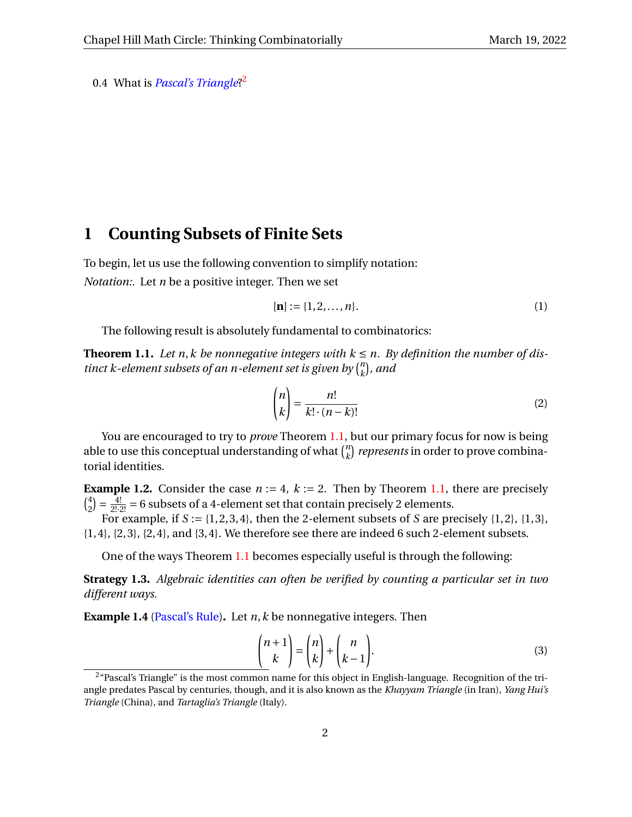<span id="page-1-3"></span>0.4 What is *[Pascal's Triangle](https://en.wikipedia.org/wiki/Pascal)*? [2](#page-1-0)

#### **1 Counting Subsets of Finite Sets**

To begin, let us use the following convention to simplify notation: *Notation:.* Let *n* be a positive integer. Then we set

$$
[n] := \{1, 2, \dots, n\}.
$$
 (1)

The following result is absolutely fundamental to combinatorics:

<span id="page-1-1"></span>**Theorem 1.1.** Let n, *k* be nonnegative integers with  $k \le n$ . By definition the number of dis*tinct k-element subsets of an n-element set is given by*  $\binom{n}{k}$  $\binom{n}{k}$ *, and* 

<span id="page-1-5"></span>
$$
\binom{n}{k} = \frac{n!}{k! \cdot (n-k)!} \tag{2}
$$

You are encouraged to try to *prove* Theorem [1.1,](#page-1-1) but our primary focus for now is being able to use this conceptual understanding of what  $\binom{n}{k}$  $\binom{n}{k}$  *represents* in order to prove combinatorial identities.

**Example 1.2.** Consider the case  $n := 4$ ,  $k := 2$ . Then by Theorem [1.1,](#page-1-1) there are precisely  $\binom{4}{2}$  $\frac{4}{2}$ ) =  $\frac{4!}{2! \cdot 2!}$  = 6 subsets of a 4-element set that contain precisely 2 elements.

For example, if  $S := \{1, 2, 3, 4\}$ , then the 2-element subsets of  $S$  are precisely  $\{1, 2\}$ ,  $\{1, 3\}$ ,  $\{1,4\}, \{2,3\}, \{2,4\}, \text{and } \{3,4\}.$  We therefore see there are indeed 6 such 2-element subsets.

One of the ways Theorem [1.1](#page-1-1) becomes especially useful is through the following:

<span id="page-1-6"></span>**Strategy 1.3.** *Algebraic identities can often be verified by counting a particular set in two different ways.*

<span id="page-1-2"></span>**Example 1.4** [\(Pascal's Rule\)](https://en.wikipedia.org/wiki/Pascal)**.** Let *n*,*k* be nonnegative integers. Then

<span id="page-1-4"></span>
$$
\binom{n+1}{k} = \binom{n}{k} + \binom{n}{k-1}.
$$
\n(3)

<span id="page-1-0"></span><sup>&</sup>lt;sup>2</sup> "Pascal's Triangle" is the most common name for this object in English-language. Recognition of the triangle predates Pascal by centuries, though, and it is also known as the *Khayyam Triangle* (in Iran), *Yang Hui's Triangle* (China), and *Tartaglia's Triangle* (Italy).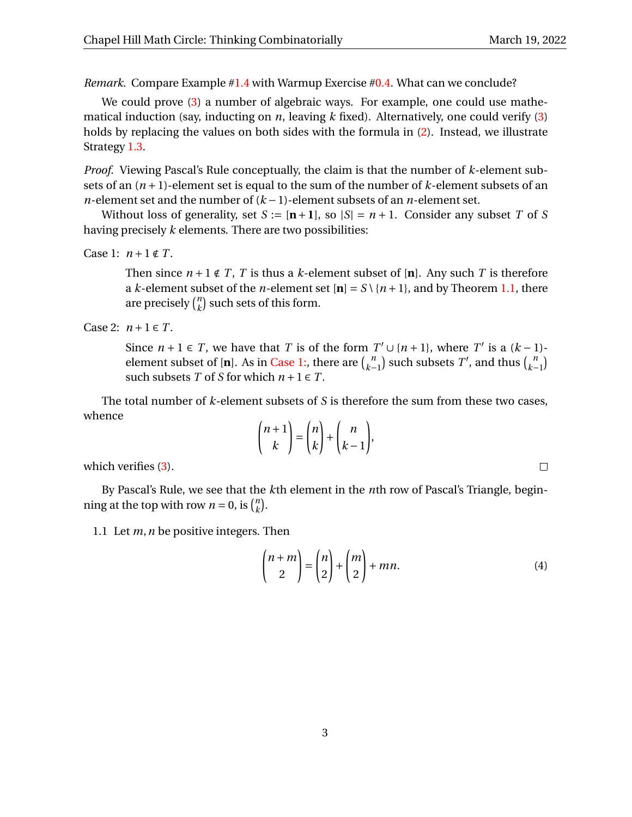$\Box$ 

*Remark.* Compare Example [#1.4](#page-1-2) with Warmup Exercise [#0.4.](#page-1-3) What can we conclude?

We could prove [\(3\)](#page-1-4) a number of algebraic ways. For example, one could use mathematical induction (say, inducting on *n*, leaving *k* fixed). Alternatively, one could verify [\(3\)](#page-1-4) holds by replacing the values on both sides with the formula in [\(2\)](#page-1-5). Instead, we illustrate Strategy [1.3.](#page-1-6)

*Proof.* Viewing Pascal's Rule conceptually, the claim is that the number of *k*-element subsets of an (*n* +1)-element set is equal to the sum of the number of *k*-element subsets of an *n*-element set and the number of (*k* − 1)-element subsets of an *n*-element set.

Without loss of generality, set  $S := [\mathbf{n+1}]$ , so  $|S| = n + 1$ . Consider any subset *T* of *S* having precisely *k* elements. There are two possibilities:

```
Case 1: n+1 \notin T.
```
Then since  $n+1 \notin T$ , *T* is thus a *k*-element subset of [n]. Any such *T* is therefore a *k*-element subset of the *n*-element set  $[n] = S \setminus \{n+1\}$ , and by Theorem [1.1,](#page-1-1) there are precisely  $\binom{n}{k}$  $\binom{n}{k}$  such sets of this form.

Case 2:  $n+1 \in T$ .

Since  $n + 1 \in T$ , we have that *T* is of the form  $T' \cup \{n + 1\}$ , where  $T'$  is a  $(k - 1)$ element subset of [**n**]. As in [Case 1:,](#page-2-0) there are  $\binom{n}{k-1}$  such subsets  $T'$ , and thus  $\binom{n}{k-1}$ such subsets *T* of *S* for which  $n + 1 \in T$ .

The total number of *k*-element subsets of *S* is therefore the sum from these two cases, whence

$$
\binom{n+1}{k} = \binom{n}{k} + \binom{n}{k-1},
$$

which verifies  $(3)$ .

By Pascal's Rule, we see that the *k*th element in the *n*th row of Pascal's Triangle, beginning at the top with row  $n = 0$ , is  $\binom{n}{k}$  $\binom{n}{k}$ .

1.1 Let *m*,*n* be positive integers. Then

$$
\binom{n+m}{2} = \binom{n}{2} + \binom{m}{2} + mn.
$$
 (4)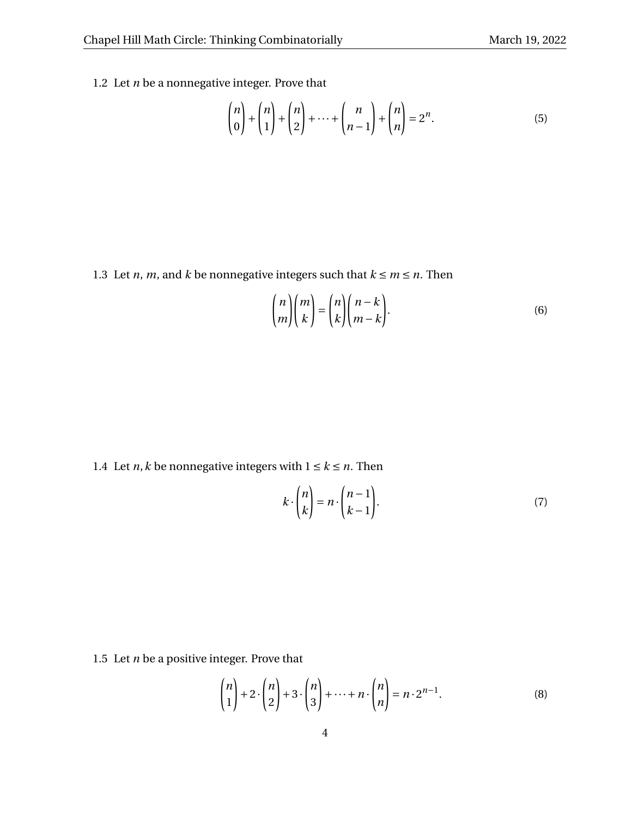<span id="page-3-0"></span>1.2 Let *n* be a nonnegative integer. Prove that

$$
\begin{pmatrix} n \\ 0 \end{pmatrix} + \begin{pmatrix} n \\ 1 \end{pmatrix} + \begin{pmatrix} n \\ 2 \end{pmatrix} + \dots + \begin{pmatrix} n \\ n-1 \end{pmatrix} + \begin{pmatrix} n \\ n \end{pmatrix} = 2^n.
$$
 (5)

1.3 Let *n*, *m*, and *k* be nonnegative integers such that  $k \le m \le n$ . Then

$$
\binom{n}{m}\binom{m}{k} = \binom{n}{k}\binom{n-k}{m-k}.
$$
\n(6)

1.4 Let *n*, *k* be nonnegative integers with  $1 \le k \le n$ . Then

$$
k \cdot \binom{n}{k} = n \cdot \binom{n-1}{k-1}.
$$
 (7)

1.5 Let *n* be a positive integer. Prove that

$$
\binom{n}{1} + 2 \cdot \binom{n}{2} + 3 \cdot \binom{n}{3} + \dots + n \cdot \binom{n}{n} = n \cdot 2^{n-1}.
$$
 (8)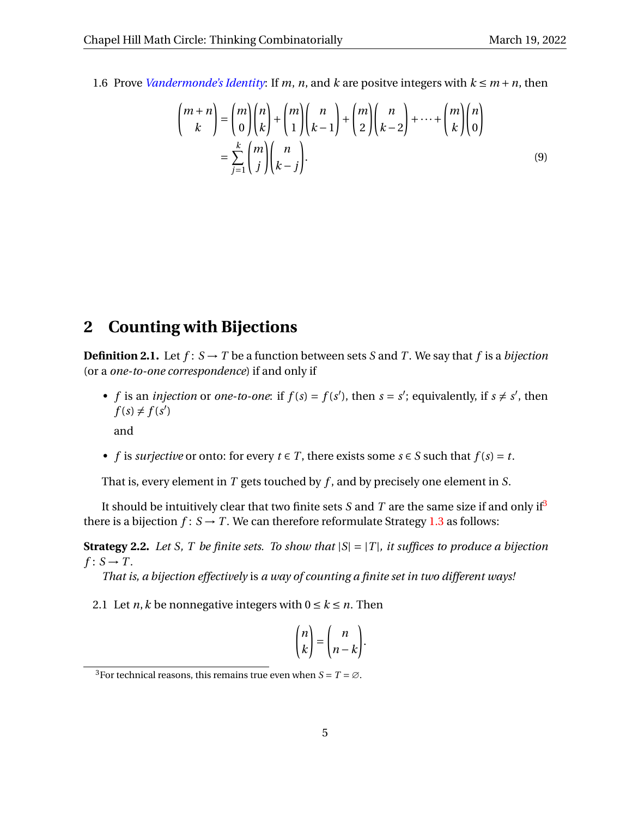1.6 Prove *[Vandermonde's Identity](https://en.wikipedia.org/wiki/Vandermonde%27s_identity)*: If *m*, *n*, and *k* are positve integers with  $k \le m + n$ , then

$$
\binom{m+n}{k} = \binom{m}{0} \binom{n}{k} + \binom{m}{1} \binom{n}{k-1} + \binom{m}{2} \binom{n}{k-2} + \dots + \binom{m}{k} \binom{n}{0}
$$

$$
= \sum_{j=1}^{k} \binom{m}{j} \binom{n}{k-j}.
$$
(9)

#### **2 Counting with Bijections**

**Definition 2.1.** Let  $f: S \to T$  be a function between sets *S* and *T*. We say that *f* is a *bijection* (or a *one-to-one correspondence*) if and only if

• *f* is an *injection* or *one-to-one*: if  $f(s) = f(s')$ , then  $s = s'$ ; equivalently, if  $s \neq s'$ , then  $f(s) \neq f(s')$ 

and

• *f* is *surjective* or onto: for every  $t \in T$ , there exists some  $s \in S$  such that  $f(s) = t$ .

That is, every element in *T* gets touched by *f* , and by precisely one element in *S*.

It should be intuitively clear that two finite sets *S* and *T* are the same size if and only if<sup>[3](#page-4-0)</sup> there is a bijection  $f: S \to T$ . We can therefore reformulate Strategy [1.3](#page-1-6) as follows:

**Strategy 2.2.** *Let S, T be finite sets. To show that* |*S*| = |*T* |*, it suffices to produce a bijection*  $f: S \rightarrow T$ .

*That is, a bijection effectively* is *a way of counting a finite set in two different ways!*

2.1 Let *n*, *k* be nonnegative integers with  $0 \le k \le n$ . Then

$$
\binom{n}{k} = \binom{n}{n-k}.
$$

<span id="page-4-0"></span><sup>&</sup>lt;sup>3</sup>For technical reasons, this remains true even when  $S = T = \emptyset$ .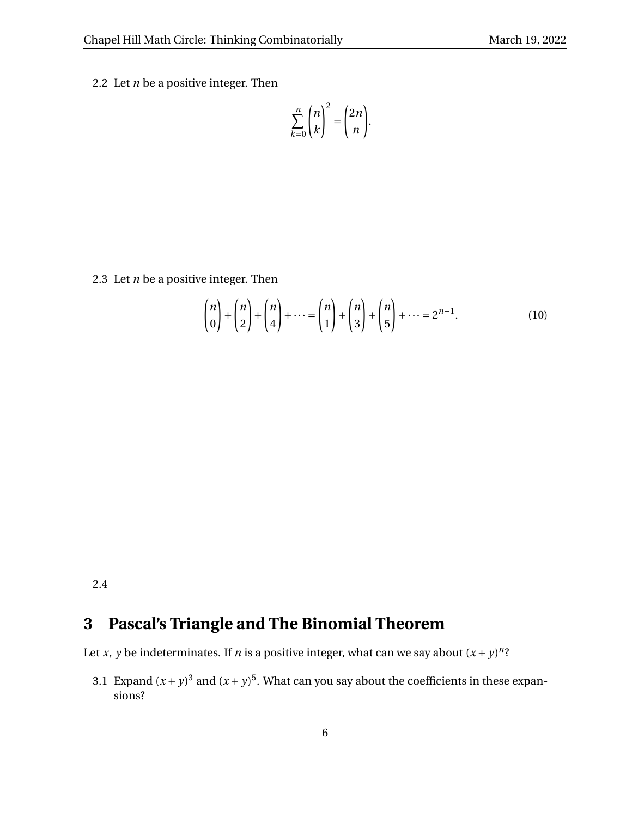2.2 Let  $n$  be a positive integer. Then

$$
\sum_{k=0}^n \binom{n}{k}^2 = \binom{2n}{n}.
$$

<span id="page-5-0"></span>2.3 Let *n* be a positive integer. Then

$$
\binom{n}{0} + \binom{n}{2} + \binom{n}{4} + \dots = \binom{n}{1} + \binom{n}{3} + \binom{n}{5} + \dots = 2^{n-1}.
$$
 (10)

2.4

#### **3 Pascal's Triangle and The Binomial Theorem**

Let *x*, *y* be indeterminates. If *n* is a positive integer, what can we say about  $(x + y)^n$ ?

3.1 Expand  $(x + y)^3$  and  $(x + y)^5$ . What can you say about the coefficients in these expansions?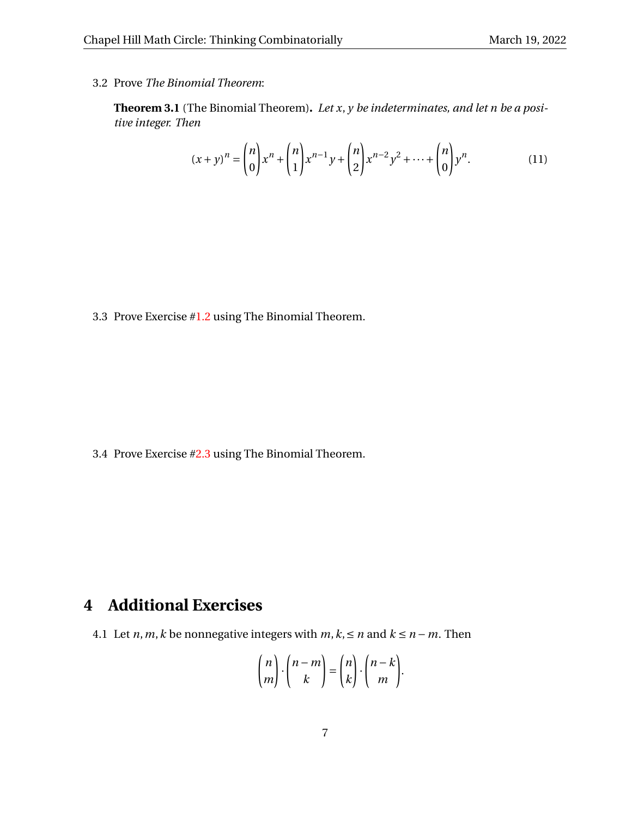3.2 Prove *The Binomial Theorem*:

**Theorem 3.1** (The Binomial Theorem)**.** *Let x*, *y be indeterminates, and let n be a positive integer. Then*

$$
(x+y)^n = \binom{n}{0} x^n + \binom{n}{1} x^{n-1} y + \binom{n}{2} x^{n-2} y^2 + \dots + \binom{n}{0} y^n.
$$
 (11)

3.3 Prove Exercise [#1.2](#page-3-0) using The Binomial Theorem.

3.4 Prove Exercise [#2.3](#page-5-0) using The Binomial Theorem.

## **4 Additional Exercises**

<span id="page-6-0"></span>4.1 Let *n*,*m*,*k* be nonnegative integers with  $m, k \leq n$  and  $k \leq n - m$ . Then

$$
\binom{n}{m} \cdot \binom{n-m}{k} = \binom{n}{k} \cdot \binom{n-k}{m}.
$$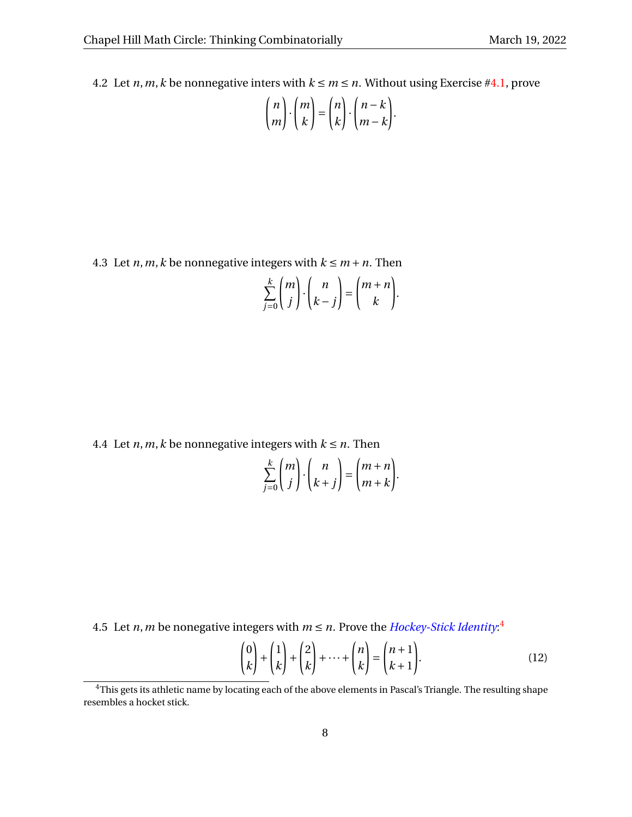4.2 Let *n*, *m*, *k* be nonnegative inters with  $k \le m \le n$ . Without using Exercise [#4.1,](#page-6-0) prove

$$
\binom{n}{m} \cdot \binom{m}{k} = \binom{n}{k} \cdot \binom{n-k}{m-k}.
$$

4.3 Let *n*, *m*, *k* be nonnegative integers with  $k \le m + n$ . Then

$$
\sum_{j=0}^{k} \binom{m}{j} \cdot \binom{n}{k-j} = \binom{m+n}{k}.
$$

4.4 Let  $n, m, k$  be nonnegative integers with  $k \leq n$ . Then

$$
\sum_{j=0}^{k} {m \choose j} \cdot {n \choose k+j} = {m+n \choose m+k}.
$$

[4](#page-7-0).5 Let *n*, *m* be nonegative integers with  $m \le n$ . Prove the *[Hockey-Stick Identity](https://en.wikipedia.org/wiki/Hockey-stick_identity)*:<sup>4</sup>

$$
\begin{pmatrix} 0 \\ k \end{pmatrix} + \begin{pmatrix} 1 \\ k \end{pmatrix} + \begin{pmatrix} 2 \\ k \end{pmatrix} + \dots + \begin{pmatrix} n \\ k \end{pmatrix} = \begin{pmatrix} n+1 \\ k+1 \end{pmatrix}.
$$
 (12)

<span id="page-7-0"></span><sup>&</sup>lt;sup>4</sup>This gets its athletic name by locating each of the above elements in Pascal's Triangle. The resulting shape resembles a hocket stick.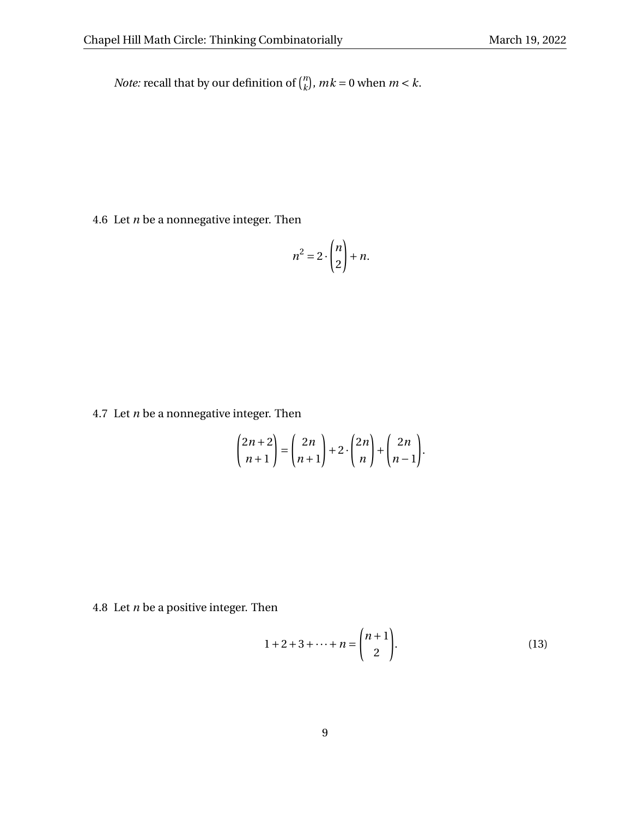*Note:* recall that by our definition of  $\binom{n}{k}$  ${k \choose k}$ ,  $mk = 0$  when  $m < k$ .

4.6 Let *n* be a nonnegative integer. Then

$$
n^2 = 2 \cdot \binom{n}{2} + n.
$$

4.7 Let *n* be a nonnegative integer. Then

$$
\binom{2n+2}{n+1} = \binom{2n}{n+1} + 2 \cdot \binom{2n}{n} + \binom{2n}{n-1}.
$$

4.8 Let *n* be a positive integer. Then

$$
1 + 2 + 3 + \dots + n = \binom{n+1}{2}.
$$
 (13)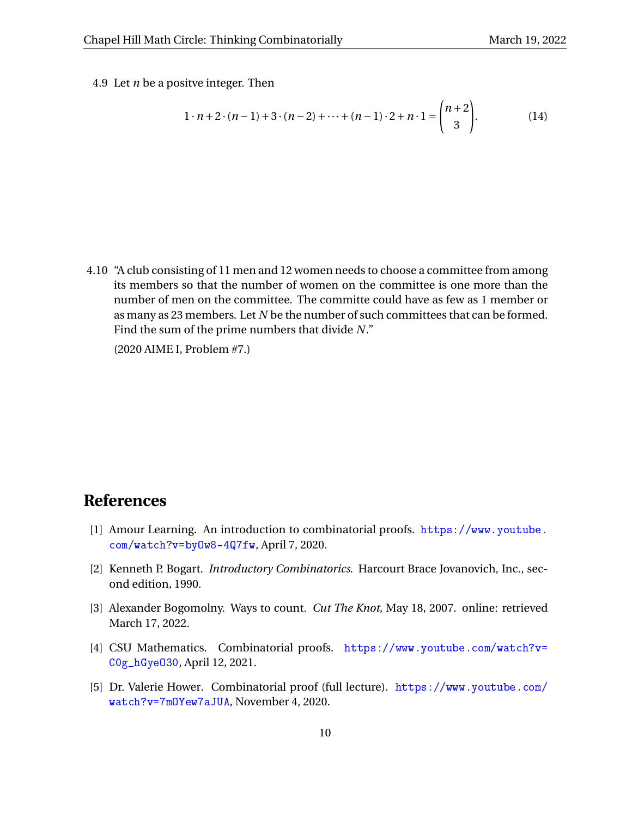4.9 Let *n* be a positve integer. Then

$$
1 \cdot n + 2 \cdot (n-1) + 3 \cdot (n-2) + \dots + (n-1) \cdot 2 + n \cdot 1 = \binom{n+2}{3}.
$$
 (14)

4.10 "A club consisting of 11 men and 12 women needs to choose a committee from among its members so that the number of women on the committee is one more than the number of men on the committee. The committe could have as few as 1 member or as many as 23 members. Let *N* be the number of such committees that can be formed. Find the sum of the prime numbers that divide *N*."

(2020 AIME I, Problem #7.)

### **References**

- [1] Amour Learning. An introduction to combinatorial proofs. [https://www.youtube.](https://www.youtube.com/watch?v=byOw8-4Q7fw) [com/watch?v=byOw8-4Q7fw](https://www.youtube.com/watch?v=byOw8-4Q7fw), April 7, 2020.
- [2] Kenneth P. Bogart. *Introductory Combinatorics*. Harcourt Brace Jovanovich, Inc., second edition, 1990.
- [3] Alexander Bogomolny. Ways to count. *Cut The Knot*, May 18, 2007. online: retrieved March 17, 2022.
- [4] CSU Mathematics. Combinatorial proofs. [https://www.youtube.com/watch?v=](https://www.youtube.com/watch?v=C0g_hGyeO30) [C0g\\_hGyeO30](https://www.youtube.com/watch?v=C0g_hGyeO30), April 12, 2021.
- [5] Dr. Valerie Hower. Combinatorial proof (full lecture). [https://www.youtube.com/](https://www.youtube.com/watch?v=7mOYew7aJUA) [watch?v=7mOYew7aJUA](https://www.youtube.com/watch?v=7mOYew7aJUA), November 4, 2020.